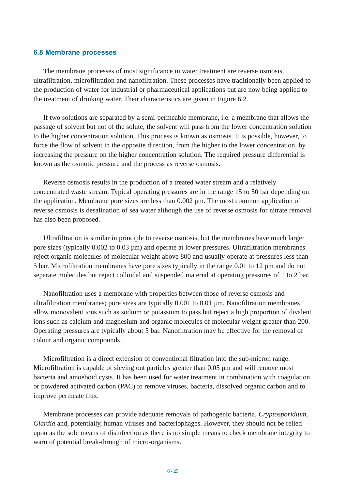## **6.8 Membrane processes**

The membrane processes of most significance in water treatment are reverse osmosis, ultrafiltration, microfiltration and nanofiltration. These processes have traditionally been applied to the production of water for industrial or pharmaceutical applications but are now being applied to the treatment of drinking water. Their characteristics are given in Figure 6.2.

If two solutions are separated by a semi-permeable membrane, i.e. a membrane that allows the passage of solvent but not of the solute, the solvent will pass from the lower concentration solution to the higher concentration solution. This process is known as osmosis. It is possible, however, to force the flow of solvent in the opposite direction, from the higher to the lower concentration, by increasing the pressure on the higher concentration solution. The required pressure differential is known as the osmotic pressure and the process as reverse osmosis.

Reverse osmosis results in the production of a treated water stream and a relatively concentrated waste stream. Typical operating pressures are in the range 15 to 50 bar depending on the application. Membrane pore sizes are less than  $0.002 \mu m$ . The most common application of reverse osmosis is desalination of sea water although the use of reverse osmosis for nitrate removal has also been proposed.

Ultrafiltration is similar in principle to reverse osmosis, but the membranes have much larger pore sizes (typically 0.002 to 0.03 µm) and operate at lower pressures. Ultrafiltration membranes reject organic molecules of molecular weight above 800 and usually operate at pressures less than 5 bar. Microfiltration membranes have pore sizes typically in the range 0.01 to 12 µm and do not separate molecules but reject colloidal and suspended material at operating pressures of 1 to 2 bar.

Nanofiltration uses a membrane with properties between those of reverse osmosis and ultrafiltration membranes; pore sizes are typically 0.001 to 0.01  $\mu$ m. Nanofiltration membranes allow monovalent ions such as sodium or potassium to pass but reject a high proportion of divalent ions such as calcium and magnesium and organic molecules of molecular weight greater than 200. Operating pressures are typically about 5 bar. Nanofiltration may be effective for the removal of colour and organic compounds.

Microfiltration is a direct extension of conventional filtration into the sub-micron range. Microfiltration is capable of sieving out particles greater than 0.05  $\mu$ m and will remove most bacteria and amoeboid cysts. It has been used for water treatment in combination with coagulation or powdered activated carbon (PAC) to remove viruses, bacteria, dissolved organic carbon and to improve permeate flux.

Membrane processes can provide adequate removals of pathogenic bacteria, *Cryptosporidium, Giardia* and, potentially, human viruses and bacteriophages. However, they should not be relied upon as the sole means of disinfection as there is no simple means to check membrane integrity to warn of potential break-through of micro-organisms.